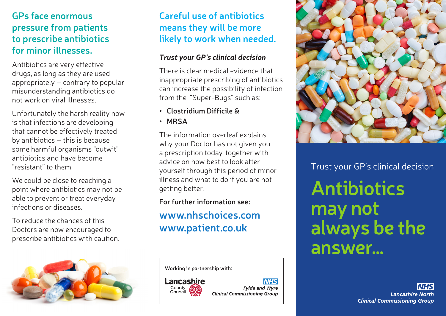## **GPs face enormous pressure from patients to prescribe antibiotics for minor illnesses.**

Antibiotics are very effective drugs, as long as they are used appropriately – contrary to popular misunderstanding antibiotics do not work on viral Illnesses.

Unfortunately the harsh reality now is that infections are developing that cannot be effectively treated by antibiotics – this is because some harmful organisms "outwit" antibiotics and have become "resistant" to them.

We could be close to reaching a point where antibiotics may not be able to prevent or treat everyday infections or diseases.

To reduce the chances of this Doctors are now encouraged to prescribe antibiotics with caution.



## **Careful use of antibiotics means they will be more likely to work when needed.**

### *Trust your GP's clinical decision*

There is clear medical evidence that inappropriate prescribing of antibiotics can increase the possibility of infection from the "Super-Bugs" such as:

- **• Clostridium Difficile &**
- **• MRSA**

The information overleaf explains why your Doctor has not given you a prescription today, together with advice on how best to look after yourself through this period of minor illness and what to do if you are not getting better.

#### **For further information see:**

## **www.nhschoices.com www.patient.co.uk**

**Working in partnership with:**



**Fylde and Wyre Clinical Commissioning Group** 

**NHS** 



**Antibiotics may not always be the answer…** Trust your GP's clinical decision

> **Lancashire North Clinical Commissioning Group**